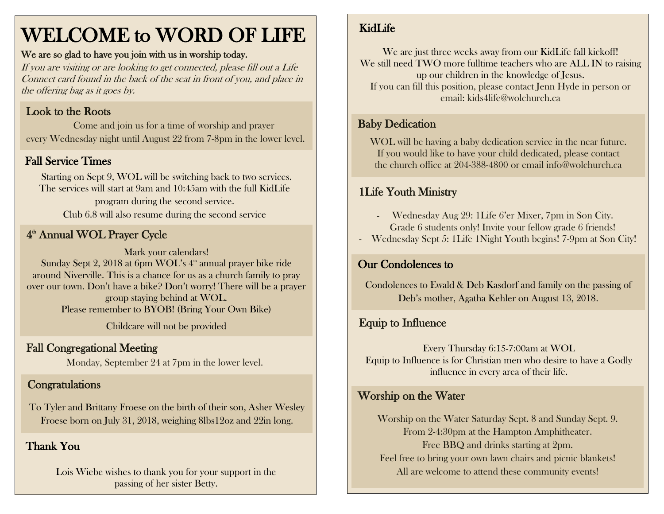# WELCOME to WORD OF LIFE

#### We are so glad to have you join with us in worship today.

If you are visiting or are looking to get connected, please fill out a Life Connect card found in the back of the seat in front of you, and place in the offering bag as it goes by.

#### Look to the Roots

 Come and join us for a time of worship and prayer every Wednesday night until August 22 from 7-8pm in the lower level.

## Fall Service Times

Starting on Sept 9, WOL will be switching back to two services. The services will start at 9am and 10:45am with the full KidLife program during the second service. Club 6.8 will also resume during the second service

## 4<sup>th</sup> Annual WOL Prayer Cycle

Mark your calendars! Sunday Sept 2, 2018 at 6pm WOL's 4<sup>th</sup> annual prayer bike ride around Niverville. This is a chance for us as a church family to pray over our town. Don't have a bike? Don't worry! There will be a prayer group staying behind at WOL. Please remember to BYOB! (Bring Your Own Bike)

Childcare will not be provided

## Fall Congregational Meeting

Monday, September 24 at 7pm in the lower level.

## **Congratulations**

To Tyler and Brittany Froese on the birth of their son, Asher Wesley Froese born on July 31, 2018, weighing 8lbs12oz and 22in long.

## Thank You

Lois Wiebe wishes to thank you for your support in the passing of her sister Betty.

## KidLife

We are just three weeks away from our KidLife fall kickoff! We still need TWO more fulltime teachers who are ALL IN to raising up our children in the knowledge of Jesus. If you can fill this position, please contact Jenn Hyde in person or email: kids4life@wolchurch.ca

## Baby Dedication

WOL will be having a baby dedication service in the near future. If you would like to have your child dedicated, please contact the church office at 204-388-4800 or email info@wolchurch.ca

## 1Life Youth Ministry

- Wednesday Aug 29: 1Life 6'er Mixer, 7pm in Son City. Grade 6 students only! Invite your fellow grade 6 friends!
- Wednesday Sept 5: 1Life 1Night Youth begins! 7-9pm at Son City!

## Our Condolences to

Condolences to Ewald & Deb Kasdorf and family on the passing of Deb's mother, Agatha Kehler on August 13, 2018.

## Equip to Influence

Every Thursday 6:15-7:00am at WOL Equip to Influence is for Christian men who desire to have a Godly influence in every area of their life.

#### Worship on the Water

Worship on the Water Saturday Sept. 8 and Sunday Sept. 9. From 2-4:30pm at the Hampton Amphitheater. Free BBQ and drinks starting at 2pm. Feel free to bring your own lawn chairs and picnic blankets! All are welcome to attend these community events!